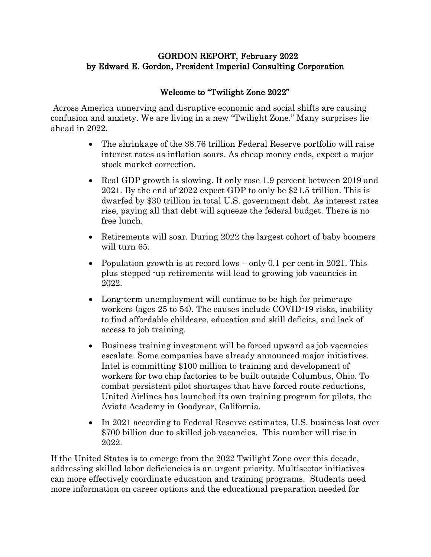## GORDON REPORT, February 2022 by Edward E. Gordon, President Imperial Consulting Corporation

## Welcome to "Twilight Zone 2022"

Across America unnerving and disruptive economic and social shifts are causing confusion and anxiety. We are living in a new "Twilight Zone." Many surprises lie ahead in 2022.

- The shrinkage of the \$8.76 trillion Federal Reserve portfolio will raise interest rates as inflation soars. As cheap money ends, expect a major stock market correction.
- Real GDP growth is slowing. It only rose 1.9 percent between 2019 and 2021. By the end of 2022 expect GDP to only be \$21.5 trillion. This is dwarfed by \$30 trillion in total U.S. government debt. As interest rates rise, paying all that debt will squeeze the federal budget. There is no free lunch.
- Retirements will soar. During 2022 the largest cohort of baby boomers will turn 65.
- Population growth is at record lows only 0.1 per cent in 2021. This plus stepped -up retirements will lead to growing job vacancies in 2022.
- Long-term unemployment will continue to be high for prime-age workers (ages 25 to 54). The causes include COVID-19 risks, inability to find affordable childcare, education and skill deficits, and lack of access to job training.
- Business training investment will be forced upward as job vacancies escalate. Some companies have already announced major initiatives. Intel is committing \$100 million to training and development of workers for two chip factories to be built outside Columbus, Ohio. To combat persistent pilot shortages that have forced route reductions, United Airlines has launched its own training program for pilots, the Aviate Academy in Goodyear, California.
- In 2021 according to Federal Reserve estimates, U.S. business lost over \$700 billion due to skilled job vacancies. This number will rise in 2022.

If the United States is to emerge from the 2022 Twilight Zone over this decade, addressing skilled labor deficiencies is an urgent priority. Multisector initiatives can more effectively coordinate education and training programs. Students need more information on career options and the educational preparation needed for